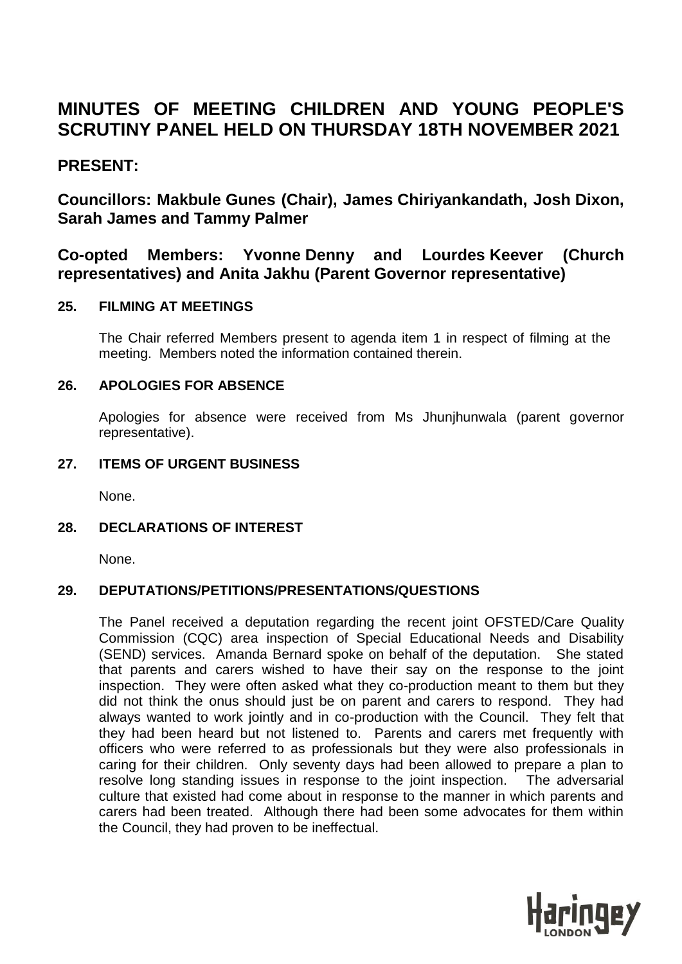# **MINUTES OF MEETING CHILDREN AND YOUNG PEOPLE'S SCRUTINY PANEL HELD ON THURSDAY 18TH NOVEMBER 2021**

## **PRESENT:**

**Councillors: Makbule Gunes (Chair), James Chiriyankandath, Josh Dixon, Sarah James and Tammy Palmer**

# **Co-opted Members: Yvonne Denny and Lourdes Keever (Church representatives) and Anita Jakhu (Parent Governor representative)**

## **25. FILMING AT MEETINGS**

The Chair referred Members present to agenda item 1 in respect of filming at the meeting. Members noted the information contained therein.

## **26. APOLOGIES FOR ABSENCE**

Apologies for absence were received from Ms Jhunjhunwala (parent governor representative).

## **27. ITEMS OF URGENT BUSINESS**

None.

## **28. DECLARATIONS OF INTEREST**

None.

## **29. DEPUTATIONS/PETITIONS/PRESENTATIONS/QUESTIONS**

The Panel received a deputation regarding the recent joint OFSTED/Care Quality Commission (CQC) area inspection of Special Educational Needs and Disability (SEND) services. Amanda Bernard spoke on behalf of the deputation. She stated that parents and carers wished to have their say on the response to the joint inspection. They were often asked what they co-production meant to them but they did not think the onus should just be on parent and carers to respond. They had always wanted to work jointly and in co-production with the Council. They felt that they had been heard but not listened to. Parents and carers met frequently with officers who were referred to as professionals but they were also professionals in caring for their children. Only seventy days had been allowed to prepare a plan to resolve long standing issues in response to the joint inspection. The adversarial culture that existed had come about in response to the manner in which parents and carers had been treated. Although there had been some advocates for them within the Council, they had proven to be ineffectual.

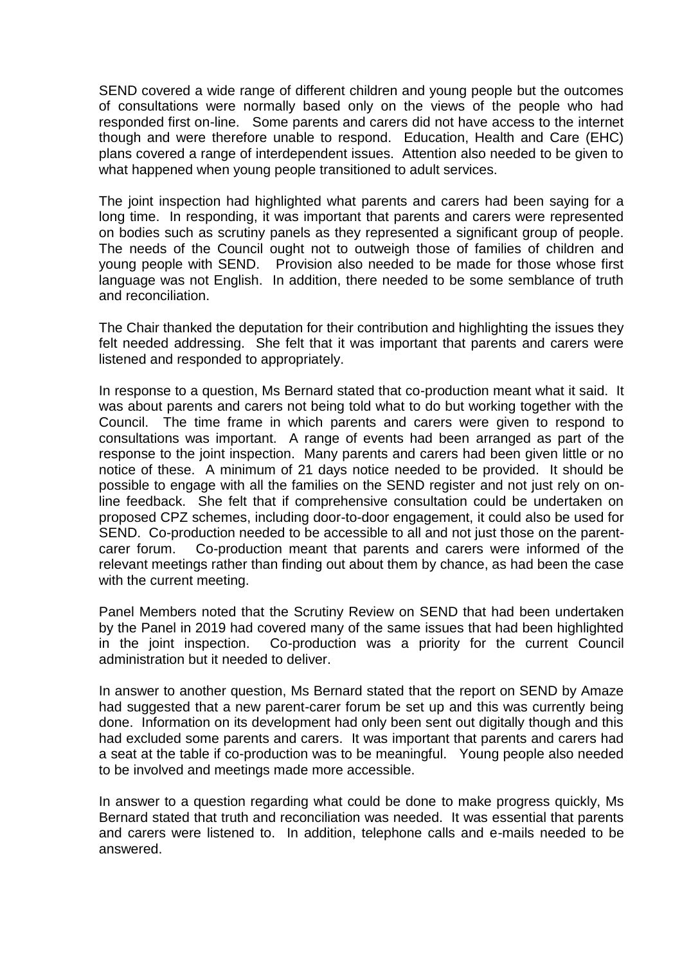SEND covered a wide range of different children and young people but the outcomes of consultations were normally based only on the views of the people who had responded first on-line. Some parents and carers did not have access to the internet though and were therefore unable to respond. Education, Health and Care (EHC) plans covered a range of interdependent issues. Attention also needed to be given to what happened when young people transitioned to adult services.

The joint inspection had highlighted what parents and carers had been saying for a long time. In responding, it was important that parents and carers were represented on bodies such as scrutiny panels as they represented a significant group of people. The needs of the Council ought not to outweigh those of families of children and young people with SEND. Provision also needed to be made for those whose first language was not English. In addition, there needed to be some semblance of truth and reconciliation.

The Chair thanked the deputation for their contribution and highlighting the issues they felt needed addressing. She felt that it was important that parents and carers were listened and responded to appropriately.

In response to a question, Ms Bernard stated that co-production meant what it said. It was about parents and carers not being told what to do but working together with the Council. The time frame in which parents and carers were given to respond to consultations was important. A range of events had been arranged as part of the response to the joint inspection. Many parents and carers had been given little or no notice of these. A minimum of 21 days notice needed to be provided. It should be possible to engage with all the families on the SEND register and not just rely on online feedback. She felt that if comprehensive consultation could be undertaken on proposed CPZ schemes, including door-to-door engagement, it could also be used for SEND. Co-production needed to be accessible to all and not just those on the parentcarer forum. Co-production meant that parents and carers were informed of the relevant meetings rather than finding out about them by chance, as had been the case with the current meeting.

Panel Members noted that the Scrutiny Review on SEND that had been undertaken by the Panel in 2019 had covered many of the same issues that had been highlighted in the joint inspection. Co-production was a priority for the current Council administration but it needed to deliver.

In answer to another question, Ms Bernard stated that the report on SEND by Amaze had suggested that a new parent-carer forum be set up and this was currently being done. Information on its development had only been sent out digitally though and this had excluded some parents and carers. It was important that parents and carers had a seat at the table if co-production was to be meaningful. Young people also needed to be involved and meetings made more accessible.

In answer to a question regarding what could be done to make progress quickly, Ms Bernard stated that truth and reconciliation was needed. It was essential that parents and carers were listened to. In addition, telephone calls and e-mails needed to be answered.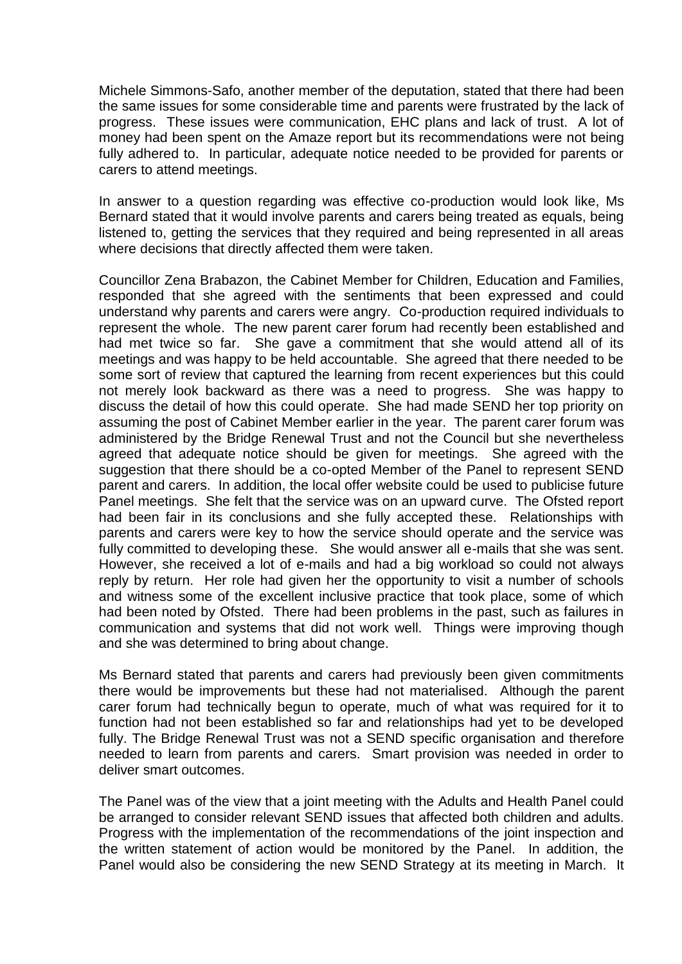Michele Simmons-Safo, another member of the deputation, stated that there had been the same issues for some considerable time and parents were frustrated by the lack of progress. These issues were communication, EHC plans and lack of trust. A lot of money had been spent on the Amaze report but its recommendations were not being fully adhered to. In particular, adequate notice needed to be provided for parents or carers to attend meetings.

In answer to a question regarding was effective co-production would look like, Ms Bernard stated that it would involve parents and carers being treated as equals, being listened to, getting the services that they required and being represented in all areas where decisions that directly affected them were taken.

Councillor Zena Brabazon, the Cabinet Member for Children, Education and Families, responded that she agreed with the sentiments that been expressed and could understand why parents and carers were angry. Co-production required individuals to represent the whole. The new parent carer forum had recently been established and had met twice so far. She gave a commitment that she would attend all of its meetings and was happy to be held accountable. She agreed that there needed to be some sort of review that captured the learning from recent experiences but this could not merely look backward as there was a need to progress. She was happy to discuss the detail of how this could operate. She had made SEND her top priority on assuming the post of Cabinet Member earlier in the year. The parent carer forum was administered by the Bridge Renewal Trust and not the Council but she nevertheless agreed that adequate notice should be given for meetings. She agreed with the suggestion that there should be a co-opted Member of the Panel to represent SEND parent and carers. In addition, the local offer website could be used to publicise future Panel meetings. She felt that the service was on an upward curve. The Ofsted report had been fair in its conclusions and she fully accepted these. Relationships with parents and carers were key to how the service should operate and the service was fully committed to developing these. She would answer all e-mails that she was sent. However, she received a lot of e-mails and had a big workload so could not always reply by return. Her role had given her the opportunity to visit a number of schools and witness some of the excellent inclusive practice that took place, some of which had been noted by Ofsted. There had been problems in the past, such as failures in communication and systems that did not work well. Things were improving though and she was determined to bring about change.

Ms Bernard stated that parents and carers had previously been given commitments there would be improvements but these had not materialised. Although the parent carer forum had technically begun to operate, much of what was required for it to function had not been established so far and relationships had yet to be developed fully. The Bridge Renewal Trust was not a SEND specific organisation and therefore needed to learn from parents and carers. Smart provision was needed in order to deliver smart outcomes.

The Panel was of the view that a joint meeting with the Adults and Health Panel could be arranged to consider relevant SEND issues that affected both children and adults. Progress with the implementation of the recommendations of the joint inspection and the written statement of action would be monitored by the Panel. In addition, the Panel would also be considering the new SEND Strategy at its meeting in March. It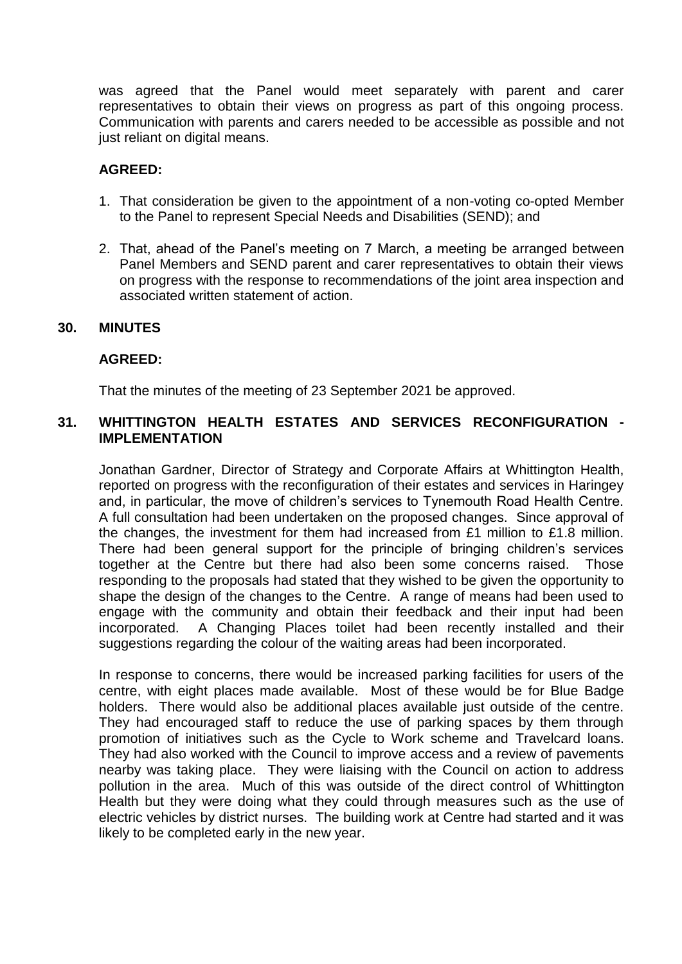was agreed that the Panel would meet separately with parent and carer representatives to obtain their views on progress as part of this ongoing process. Communication with parents and carers needed to be accessible as possible and not just reliant on digital means.

### **AGREED:**

- 1. That consideration be given to the appointment of a non-voting co-opted Member to the Panel to represent Special Needs and Disabilities (SEND); and
- 2. That, ahead of the Panel's meeting on 7 March, a meeting be arranged between Panel Members and SEND parent and carer representatives to obtain their views on progress with the response to recommendations of the joint area inspection and associated written statement of action.

#### **30. MINUTES**

#### **AGREED:**

That the minutes of the meeting of 23 September 2021 be approved.

## **31. WHITTINGTON HEALTH ESTATES AND SERVICES RECONFIGURATION - IMPLEMENTATION**

Jonathan Gardner, Director of Strategy and Corporate Affairs at Whittington Health, reported on progress with the reconfiguration of their estates and services in Haringey and, in particular, the move of children's services to Tynemouth Road Health Centre. A full consultation had been undertaken on the proposed changes. Since approval of the changes, the investment for them had increased from £1 million to £1.8 million. There had been general support for the principle of bringing children's services together at the Centre but there had also been some concerns raised. Those responding to the proposals had stated that they wished to be given the opportunity to shape the design of the changes to the Centre. A range of means had been used to engage with the community and obtain their feedback and their input had been incorporated. A Changing Places toilet had been recently installed and their suggestions regarding the colour of the waiting areas had been incorporated.

In response to concerns, there would be increased parking facilities for users of the centre, with eight places made available. Most of these would be for Blue Badge holders. There would also be additional places available just outside of the centre. They had encouraged staff to reduce the use of parking spaces by them through promotion of initiatives such as the Cycle to Work scheme and Travelcard loans. They had also worked with the Council to improve access and a review of pavements nearby was taking place. They were liaising with the Council on action to address pollution in the area. Much of this was outside of the direct control of Whittington Health but they were doing what they could through measures such as the use of electric vehicles by district nurses. The building work at Centre had started and it was likely to be completed early in the new year.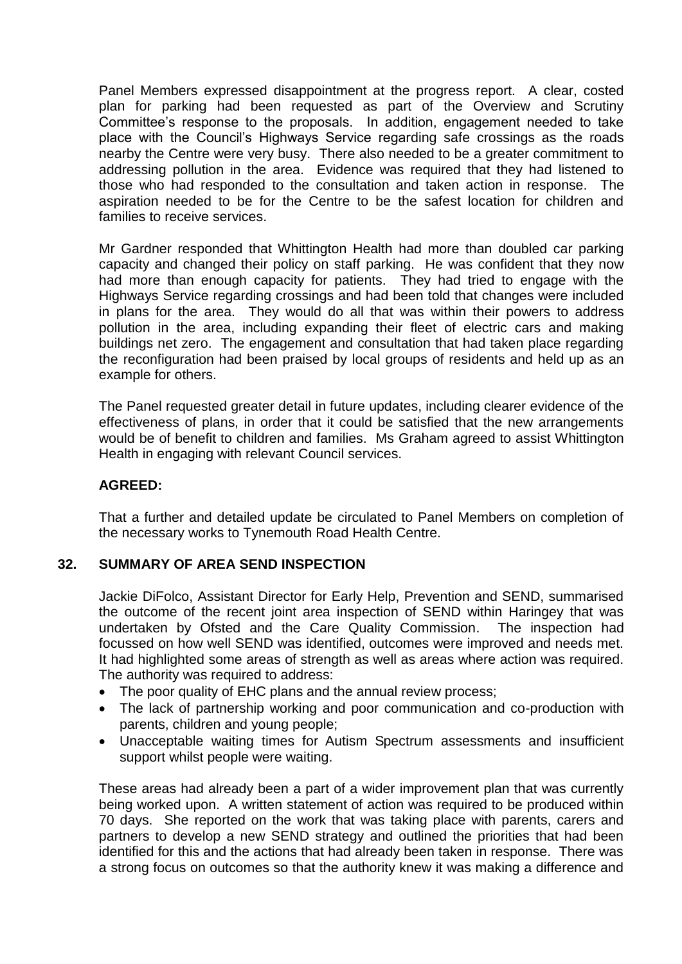Panel Members expressed disappointment at the progress report. A clear, costed plan for parking had been requested as part of the Overview and Scrutiny Committee's response to the proposals. In addition, engagement needed to take place with the Council's Highways Service regarding safe crossings as the roads nearby the Centre were very busy. There also needed to be a greater commitment to addressing pollution in the area. Evidence was required that they had listened to those who had responded to the consultation and taken action in response. The aspiration needed to be for the Centre to be the safest location for children and families to receive services.

Mr Gardner responded that Whittington Health had more than doubled car parking capacity and changed their policy on staff parking. He was confident that they now had more than enough capacity for patients. They had tried to engage with the Highways Service regarding crossings and had been told that changes were included in plans for the area. They would do all that was within their powers to address pollution in the area, including expanding their fleet of electric cars and making buildings net zero. The engagement and consultation that had taken place regarding the reconfiguration had been praised by local groups of residents and held up as an example for others.

The Panel requested greater detail in future updates, including clearer evidence of the effectiveness of plans, in order that it could be satisfied that the new arrangements would be of benefit to children and families. Ms Graham agreed to assist Whittington Health in engaging with relevant Council services.

## **AGREED:**

That a further and detailed update be circulated to Panel Members on completion of the necessary works to Tynemouth Road Health Centre.

#### **32. SUMMARY OF AREA SEND INSPECTION**

Jackie DiFolco, Assistant Director for Early Help, Prevention and SEND, summarised the outcome of the recent joint area inspection of SEND within Haringey that was undertaken by Ofsted and the Care Quality Commission. The inspection had focussed on how well SEND was identified, outcomes were improved and needs met. It had highlighted some areas of strength as well as areas where action was required. The authority was required to address:

- The poor quality of EHC plans and the annual review process;
- The lack of partnership working and poor communication and co-production with parents, children and young people;
- Unacceptable waiting times for Autism Spectrum assessments and insufficient support whilst people were waiting.

These areas had already been a part of a wider improvement plan that was currently being worked upon. A written statement of action was required to be produced within 70 days. She reported on the work that was taking place with parents, carers and partners to develop a new SEND strategy and outlined the priorities that had been identified for this and the actions that had already been taken in response. There was a strong focus on outcomes so that the authority knew it was making a difference and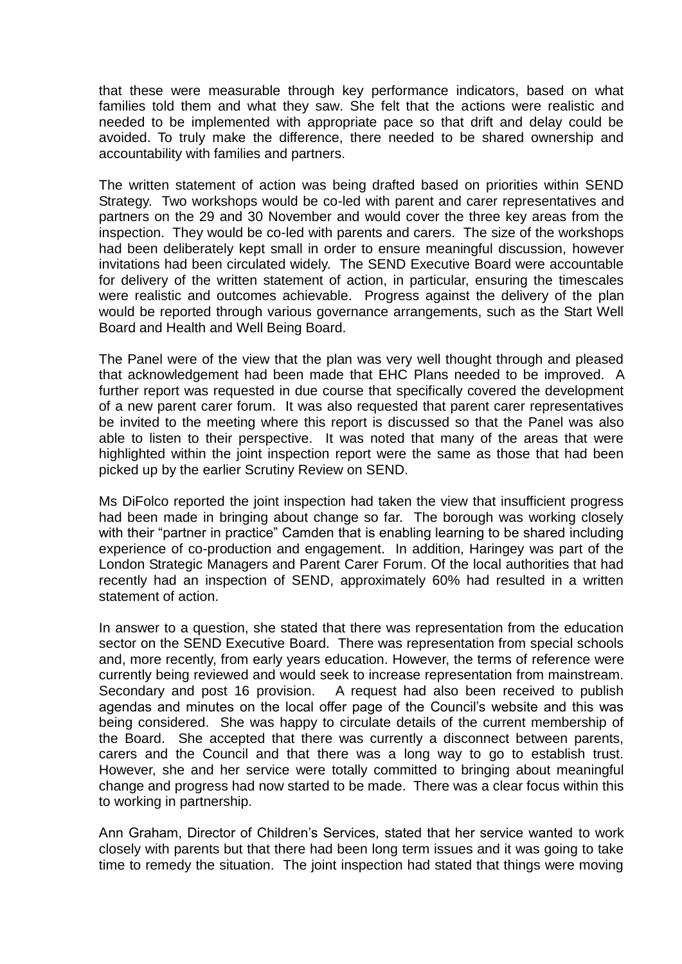that these were measurable through key performance indicators, based on what families told them and what they saw. She felt that the actions were realistic and needed to be implemented with appropriate pace so that drift and delay could be avoided. To truly make the difference, there needed to be shared ownership and accountability with families and partners.

The written statement of action was being drafted based on priorities within SEND Strategy. Two workshops would be co-led with parent and carer representatives and partners on the 29 and 30 November and would cover the three key areas from the inspection. They would be co-led with parents and carers. The size of the workshops had been deliberately kept small in order to ensure meaningful discussion, however invitations had been circulated widely. The SEND Executive Board were accountable for delivery of the written statement of action, in particular, ensuring the timescales were realistic and outcomes achievable. Progress against the delivery of the plan would be reported through various governance arrangements, such as the Start Well Board and Health and Well Being Board.

The Panel were of the view that the plan was very well thought through and pleased that acknowledgement had been made that EHC Plans needed to be improved. A further report was requested in due course that specifically covered the development of a new parent carer forum. It was also requested that parent carer representatives be invited to the meeting where this report is discussed so that the Panel was also able to listen to their perspective. It was noted that many of the areas that were highlighted within the joint inspection report were the same as those that had been picked up by the earlier Scrutiny Review on SEND.

Ms DiFolco reported the joint inspection had taken the view that insufficient progress had been made in bringing about change so far. The borough was working closely with their "partner in practice" Camden that is enabling learning to be shared including experience of co-production and engagement. In addition, Haringey was part of the London Strategic Managers and Parent Carer Forum. Of the local authorities that had recently had an inspection of SEND, approximately 60% had resulted in a written statement of action.

In answer to a question, she stated that there was representation from the education sector on the SEND Executive Board. There was representation from special schools and, more recently, from early years education. However, the terms of reference were currently being reviewed and would seek to increase representation from mainstream. Secondary and post 16 provision. A request had also been received to publish agendas and minutes on the local offer page of the Council's website and this was being considered. She was happy to circulate details of the current membership of the Board. She accepted that there was currently a disconnect between parents, carers and the Council and that there was a long way to go to establish trust. However, she and her service were totally committed to bringing about meaningful change and progress had now started to be made. There was a clear focus within this to working in partnership.

Ann Graham, Director of Children's Services, stated that her service wanted to work closely with parents but that there had been long term issues and it was going to take time to remedy the situation. The joint inspection had stated that things were moving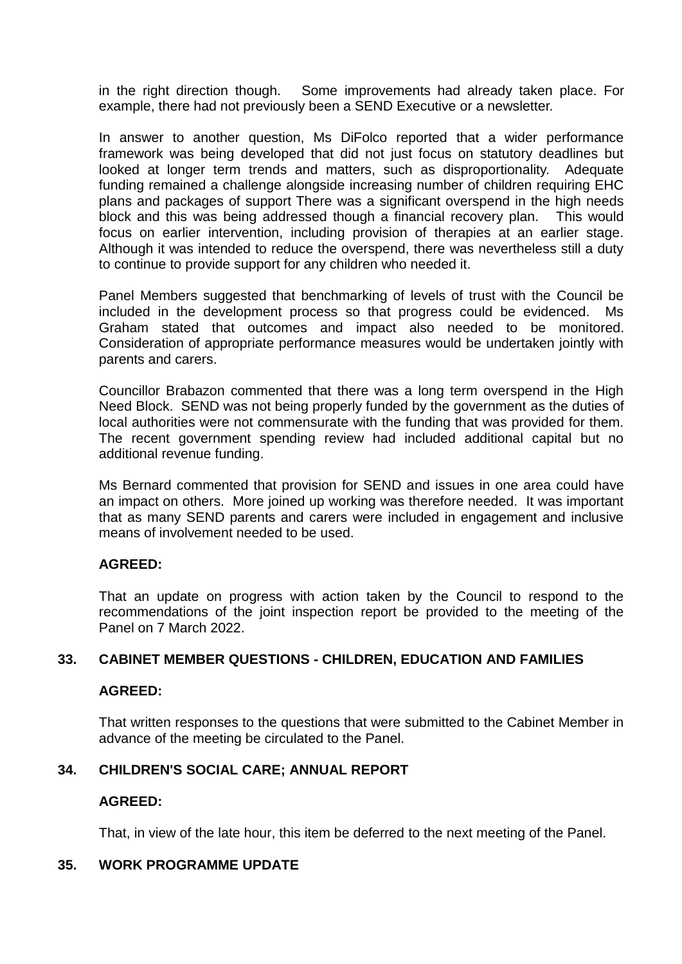in the right direction though. Some improvements had already taken place. For example, there had not previously been a SEND Executive or a newsletter.

In answer to another question, Ms DiFolco reported that a wider performance framework was being developed that did not just focus on statutory deadlines but looked at longer term trends and matters, such as disproportionality. Adequate funding remained a challenge alongside increasing number of children requiring EHC plans and packages of support There was a significant overspend in the high needs block and this was being addressed though a financial recovery plan. This would focus on earlier intervention, including provision of therapies at an earlier stage. Although it was intended to reduce the overspend, there was nevertheless still a duty to continue to provide support for any children who needed it.

Panel Members suggested that benchmarking of levels of trust with the Council be included in the development process so that progress could be evidenced. Ms Graham stated that outcomes and impact also needed to be monitored. Consideration of appropriate performance measures would be undertaken jointly with parents and carers.

Councillor Brabazon commented that there was a long term overspend in the High Need Block. SEND was not being properly funded by the government as the duties of local authorities were not commensurate with the funding that was provided for them. The recent government spending review had included additional capital but no additional revenue funding.

Ms Bernard commented that provision for SEND and issues in one area could have an impact on others. More joined up working was therefore needed. It was important that as many SEND parents and carers were included in engagement and inclusive means of involvement needed to be used.

## **AGREED:**

That an update on progress with action taken by the Council to respond to the recommendations of the joint inspection report be provided to the meeting of the Panel on 7 March 2022.

## **33. CABINET MEMBER QUESTIONS - CHILDREN, EDUCATION AND FAMILIES**

#### **AGREED:**

That written responses to the questions that were submitted to the Cabinet Member in advance of the meeting be circulated to the Panel.

## **34. CHILDREN'S SOCIAL CARE; ANNUAL REPORT**

#### **AGREED:**

That, in view of the late hour, this item be deferred to the next meeting of the Panel.

#### **35. WORK PROGRAMME UPDATE**